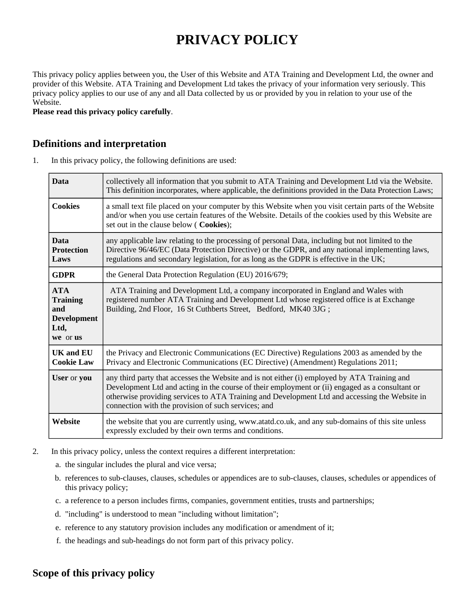# **PRIVACY POLICY**

This privacy policy applies between you, the User of this Website and ATA Training and Development Ltd, the owner and provider of this Website. ATA Training and Development Ltd takes the privacy of your information very seriously. This privacy policy applies to our use of any and all Data collected by us or provided by you in relation to your use of the Website.

**Please read this privacy policy carefully**.

#### **Definitions and interpretation**

1. In this privacy policy, the following definitions are used:

| <b>Data</b>                                                                    | collectively all information that you submit to ATA Training and Development Ltd via the Website.<br>This definition incorporates, where applicable, the definitions provided in the Data Protection Laws;                                                                                                                                              |
|--------------------------------------------------------------------------------|---------------------------------------------------------------------------------------------------------------------------------------------------------------------------------------------------------------------------------------------------------------------------------------------------------------------------------------------------------|
| <b>Cookies</b>                                                                 | a small text file placed on your computer by this Website when you visit certain parts of the Website<br>and/or when you use certain features of the Website. Details of the cookies used by this Website are<br>set out in the clause below (Cookies);                                                                                                 |
| <b>Data</b><br><b>Protection</b><br>Laws                                       | any applicable law relating to the processing of personal Data, including but not limited to the<br>Directive 96/46/EC (Data Protection Directive) or the GDPR, and any national implementing laws,<br>regulations and secondary legislation, for as long as the GDPR is effective in the UK;                                                           |
| <b>GDPR</b>                                                                    | the General Data Protection Regulation (EU) 2016/679;                                                                                                                                                                                                                                                                                                   |
| <b>ATA</b><br><b>Training</b><br>and<br><b>Development</b><br>Ltd,<br>we or us | ATA Training and Development Ltd, a company incorporated in England and Wales with<br>registered number ATA Training and Development Ltd whose registered office is at Exchange<br>Building, 2nd Floor, 16 St Cuthberts Street, Bedford, MK40 3JG;                                                                                                      |
| <b>UK and EU</b><br><b>Cookie Law</b>                                          | the Privacy and Electronic Communications (EC Directive) Regulations 2003 as amended by the<br>Privacy and Electronic Communications (EC Directive) (Amendment) Regulations 2011;                                                                                                                                                                       |
| User or you                                                                    | any third party that accesses the Website and is not either (i) employed by ATA Training and<br>Development Ltd and acting in the course of their employment or (ii) engaged as a consultant or<br>otherwise providing services to ATA Training and Development Ltd and accessing the Website in<br>connection with the provision of such services; and |
| Website                                                                        | the website that you are currently using, www.atatd.co.uk, and any sub-domains of this site unless<br>expressly excluded by their own terms and conditions.                                                                                                                                                                                             |

- 2. In this privacy policy, unless the context requires a different interpretation:
	- a. the singular includes the plural and vice versa;
	- b. references to sub-clauses, clauses, schedules or appendices are to sub-clauses, clauses, schedules or appendices of this privacy policy;
	- c. a reference to a person includes firms, companies, government entities, trusts and partnerships;
	- d. "including" is understood to mean "including without limitation";
	- e. reference to any statutory provision includes any modification or amendment of it;
	- f. the headings and sub-headings do not form part of this privacy policy.

### **Scope of this privacy policy**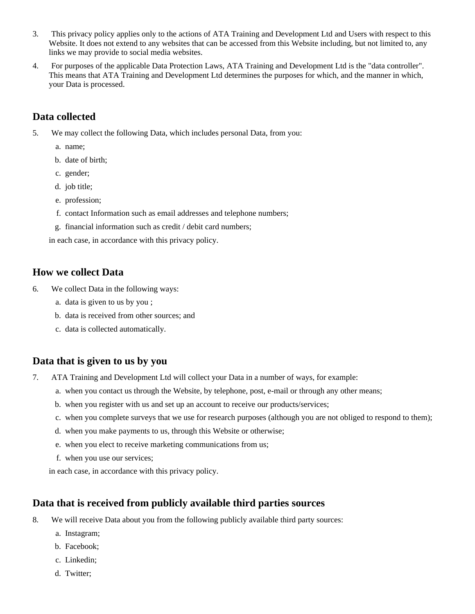- 3. This privacy policy applies only to the actions of ATA Training and Development Ltd and Users with respect to this Website. It does not extend to any websites that can be accessed from this Website including, but not limited to, any links we may provide to social media websites.
- 4. For purposes of the applicable Data Protection Laws, ATA Training and Development Ltd is the "data controller". This means that ATA Training and Development Ltd determines the purposes for which, and the manner in which, your Data is processed.

## **Data collected**

- 5. We may collect the following Data, which includes personal Data, from you:
	- a. name;
	- b. date of birth;
	- c. gender;
	- d. job title;
	- e. profession;
	- f. contact Information such as email addresses and telephone numbers;
	- g. financial information such as credit / debit card numbers;

in each case, in accordance with this privacy policy.

#### **How we collect Data**

- 6. We collect Data in the following ways:
	- a. data is given to us by you ;
	- b. data is received from other sources; and
	- c. data is collected automatically.

#### **Data that is given to us by you**

- 7. ATA Training and Development Ltd will collect your Data in a number of ways, for example:
	- a. when you contact us through the Website, by telephone, post, e-mail or through any other means;
	- b. when you register with us and set up an account to receive our products/services;
	- c. when you complete surveys that we use for research purposes (although you are not obliged to respond to them);
	- d. when you make payments to us, through this Website or otherwise;
	- e. when you elect to receive marketing communications from us;
	- f. when you use our services;

in each case, in accordance with this privacy policy.

#### **Data that is received from publicly available third parties sources**

- 8. We will receive Data about you from the following publicly available third party sources:
	- a. Instagram;
	- b. Facebook;
	- c. Linkedin;
	- d. Twitter;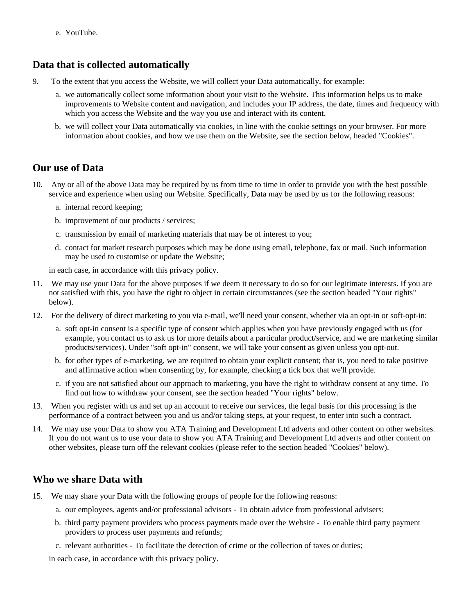e. YouTube.

## **Data that is collected automatically**

- 9. To the extent that you access the Website, we will collect your Data automatically, for example:
	- a. we automatically collect some information about your visit to the Website. This information helps us to make improvements to Website content and navigation, and includes your IP address, the date, times and frequency with which you access the Website and the way you use and interact with its content.
	- b. we will collect your Data automatically via cookies, in line with the cookie settings on your browser. For more information about cookies, and how we use them on the Website, see the section below, headed "Cookies".

## **Our use of Data**

- 10. Any or all of the above Data may be required by us from time to time in order to provide you with the best possible service and experience when using our Website. Specifically, Data may be used by us for the following reasons:
	- a. internal record keeping;
	- b. improvement of our products / services;
	- c. transmission by email of marketing materials that may be of interest to you;
	- d. contact for market research purposes which may be done using email, telephone, fax or mail. Such information may be used to customise or update the Website;

in each case, in accordance with this privacy policy.

- 11. We may use your Data for the above purposes if we deem it necessary to do so for our legitimate interests. If you are not satisfied with this, you have the right to object in certain circumstances (see the section headed "Your rights" below).
- 12. For the delivery of direct marketing to you via e-mail, we'll need your consent, whether via an opt-in or soft-opt-in:
	- a. soft opt-in consent is a specific type of consent which applies when you have previously engaged with us (for example, you contact us to ask us for more details about a particular product/service, and we are marketing similar products/services). Under "soft opt-in" consent, we will take your consent as given unless you opt-out.
	- b. for other types of e-marketing, we are required to obtain your explicit consent; that is, you need to take positive and affirmative action when consenting by, for example, checking a tick box that we'll provide.
	- c. if you are not satisfied about our approach to marketing, you have the right to withdraw consent at any time. To find out how to withdraw your consent, see the section headed "Your rights" below.
- 13. When you register with us and set up an account to receive our services, the legal basis for this processing is the performance of a contract between you and us and/or taking steps, at your request, to enter into such a contract.
- 14. We may use your Data to show you ATA Training and Development Ltd adverts and other content on other websites. If you do not want us to use your data to show you ATA Training and Development Ltd adverts and other content on other websites, please turn off the relevant cookies (please refer to the section headed "Cookies" below).

# **Who we share Data with**

- 15. We may share your Data with the following groups of people for the following reasons:
	- a. our employees, agents and/or professional advisors To obtain advice from professional advisers;
	- b. third party payment providers who process payments made over the Website To enable third party payment providers to process user payments and refunds;
	- c. relevant authorities To facilitate the detection of crime or the collection of taxes or duties;

in each case, in accordance with this privacy policy.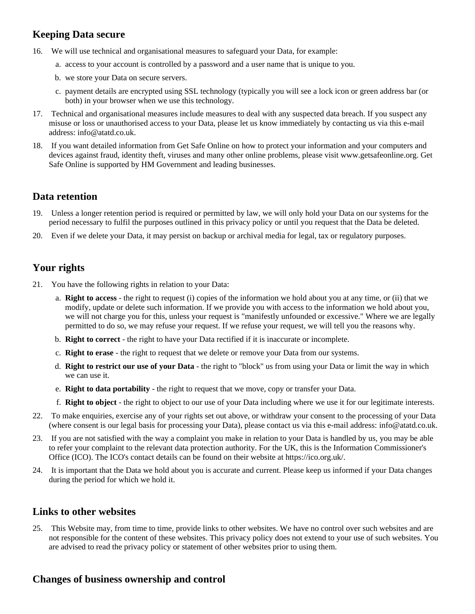## **Keeping Data secure**

- 16. We will use technical and organisational measures to safeguard your Data, for example:
	- a. access to your account is controlled by a password and a user name that is unique to you.
	- b. we store your Data on secure servers.
	- c. payment details are encrypted using SSL technology (typically you will see a lock icon or green address bar (or both) in your browser when we use this technology.
- 17. Technical and organisational measures include measures to deal with any suspected data breach. If you suspect any misuse or loss or unauthorised access to your Data, please let us know immediately by contacting us via this e-mail address: info@atatd.co.uk.
- 18. If you want detailed information from Get Safe Online on how to protect your information and your computers and devices against fraud, identity theft, viruses and many other online problems, please visit www.getsafeonline.org. Get Safe Online is supported by HM Government and leading businesses.

#### **Data retention**

- 19. Unless a longer retention period is required or permitted by law, we will only hold your Data on our systems for the period necessary to fulfil the purposes outlined in this privacy policy or until you request that the Data be deleted.
- 20. Even if we delete your Data, it may persist on backup or archival media for legal, tax or regulatory purposes.

## **Your rights**

- 21. You have the following rights in relation to your Data:
	- a. **Right to access** the right to request (i) copies of the information we hold about you at any time, or (ii) that we modify, update or delete such information. If we provide you with access to the information we hold about you, we will not charge you for this, unless your request is "manifestly unfounded or excessive." Where we are legally permitted to do so, we may refuse your request. If we refuse your request, we will tell you the reasons why.
	- b. **Right to correct** the right to have your Data rectified if it is inaccurate or incomplete.
	- c. **Right to erase** the right to request that we delete or remove your Data from our systems.
	- d. **Right to restrict our use of your Data** the right to "block" us from using your Data or limit the way in which we can use it.
	- e. **Right to data portability** the right to request that we move, copy or transfer your Data.
	- f. **Right to object** the right to object to our use of your Data including where we use it for our legitimate interests.
- 22. To make enquiries, exercise any of your rights set out above, or withdraw your consent to the processing of your Data (where consent is our legal basis for processing your Data), please contact us via this e-mail address: info@atatd.co.uk.
- 23. If you are not satisfied with the way a complaint you make in relation to your Data is handled by us, you may be able to refer your complaint to the relevant data protection authority. For the UK, this is the Information Commissioner's Office (ICO). The ICO's contact details can be found on their website at https://ico.org.uk/.
- 24. It is important that the Data we hold about you is accurate and current. Please keep us informed if your Data changes during the period for which we hold it.

### **Links to other websites**

25. This Website may, from time to time, provide links to other websites. We have no control over such websites and are not responsible for the content of these websites. This privacy policy does not extend to your use of such websites. You are advised to read the privacy policy or statement of other websites prior to using them.

## **Changes of business ownership and control**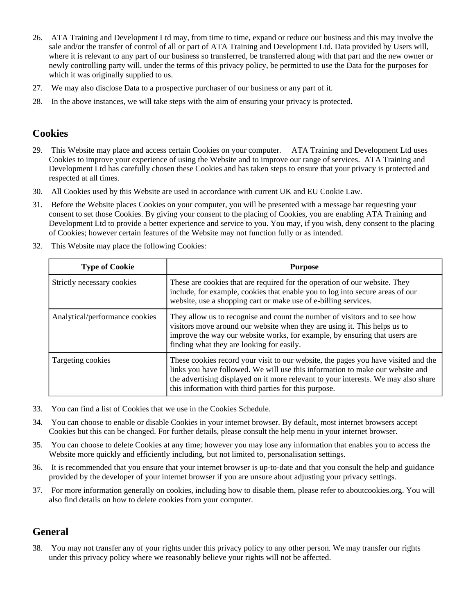- 26. ATA Training and Development Ltd may, from time to time, expand or reduce our business and this may involve the sale and/or the transfer of control of all or part of ATA Training and Development Ltd. Data provided by Users will, where it is relevant to any part of our business so transferred, be transferred along with that part and the new owner or newly controlling party will, under the terms of this privacy policy, be permitted to use the Data for the purposes for which it was originally supplied to us.
- 27. We may also disclose Data to a prospective purchaser of our business or any part of it.
- 28. In the above instances, we will take steps with the aim of ensuring your privacy is protected.

#### **Cookies**

- 29. This Website may place and access certain Cookies on your computer. ATA Training and Development Ltd uses Cookies to improve your experience of using the Website and to improve our range of services. ATA Training and Development Ltd has carefully chosen these Cookies and has taken steps to ensure that your privacy is protected and respected at all times.
- 30. All Cookies used by this Website are used in accordance with current UK and EU Cookie Law.
- 31. Before the Website places Cookies on your computer, you will be presented with a message bar requesting your consent to set those Cookies. By giving your consent to the placing of Cookies, you are enabling ATA Training and Development Ltd to provide a better experience and service to you. You may, if you wish, deny consent to the placing of Cookies; however certain features of the Website may not function fully or as intended.
- 32. This Website may place the following Cookies:

| <b>Type of Cookie</b>          | <b>Purpose</b>                                                                                                                                                                                                                                                                                                     |  |
|--------------------------------|--------------------------------------------------------------------------------------------------------------------------------------------------------------------------------------------------------------------------------------------------------------------------------------------------------------------|--|
| Strictly necessary cookies     | These are cookies that are required for the operation of our website. They<br>include, for example, cookies that enable you to log into secure areas of our<br>website, use a shopping cart or make use of e-billing services.                                                                                     |  |
| Analytical/performance cookies | They allow us to recognise and count the number of visitors and to see how<br>visitors move around our website when they are using it. This helps us to<br>improve the way our website works, for example, by ensuring that users are<br>finding what they are looking for easily.                                 |  |
| Targeting cookies              | These cookies record your visit to our website, the pages you have visited and the<br>links you have followed. We will use this information to make our website and<br>the advertising displayed on it more relevant to your interests. We may also share<br>this information with third parties for this purpose. |  |

- 33. You can find a list of Cookies that we use in the Cookies Schedule.
- 34. You can choose to enable or disable Cookies in your internet browser. By default, most internet browsers accept Cookies but this can be changed. For further details, please consult the help menu in your internet browser.
- 35. You can choose to delete Cookies at any time; however you may lose any information that enables you to access the Website more quickly and efficiently including, but not limited to, personalisation settings.
- 36. It is recommended that you ensure that your internet browser is up-to-date and that you consult the help and guidance provided by the developer of your internet browser if you are unsure about adjusting your privacy settings.
- 37. For more information generally on cookies, including how to disable them, please refer to aboutcookies.org. You will also find details on how to delete cookies from your computer.

#### **General**

38. You may not transfer any of your rights under this privacy policy to any other person. We may transfer our rights under this privacy policy where we reasonably believe your rights will not be affected.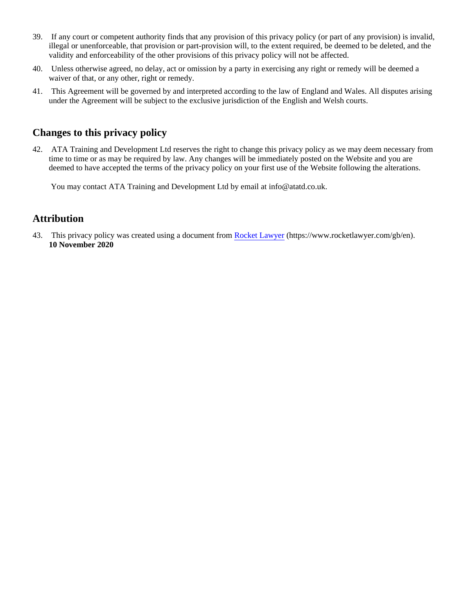- 39. If any court or competent authority finds that any provision of this privacy policy (or part of any provision) is invalid, illegal or unenforceable, that provision or part-provision will, to the extent required, be deemed to be deleted, and the validity and enforceability of the other provisions of this privacy policy will not be affected.
- 40. Unless otherwise agreed, no delay, act or omission by a party in exercising any right or remedy will be deemed a waiver of that, or any other, right or remedy.
- 41. This Agreement will be governed by and interpreted according to the law of England and Wales. All disputes arising under the Agreement will be subject to the exclusive jurisdiction of the English and Welsh courts.

## **Changes to this privacy policy**

42. ATA Training and Development Ltd reserves the right to change this privacy policy as we may deem necessary from time to time or as may be required by law. Any changes will be immediately posted on the Website and you are deemed to have accepted the terms of the privacy policy on your first use of the Website following the alterations.

You may contact ATA Training and Development Ltd by email at info@atatd.co.uk.

## **Attribution**

43. This privacy policy was created using a document from [Rocket Lawyer](https://www.rocketlawyer.com/gb/en/) (https://www.rocketlawyer.com/gb/en). **10 November 2020**